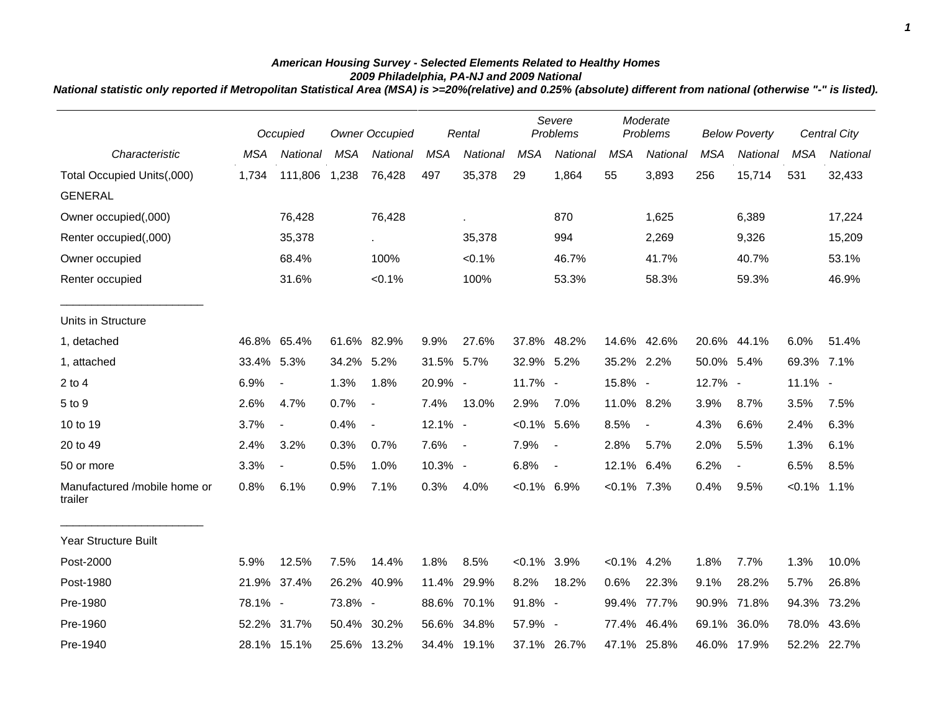## *American Housing Survey - Selected Elements Related to Healthy Homes 2009 Philadelphia, PA-NJ and 2009 National*

*National statistic only reported if Metropolitan Statistical Area (MSA) is >=20%(relative) and 0.25% (absolute) different from national (otherwise "-" is listed).*

|                                         |            | Occupied                 | <b>Owner Occupied</b> |                | Rental     |                          | Severe<br>Problems |                          | Moderate<br>Problems |                          | <b>Below Poverty</b> |                          | <b>Central City</b> |             |
|-----------------------------------------|------------|--------------------------|-----------------------|----------------|------------|--------------------------|--------------------|--------------------------|----------------------|--------------------------|----------------------|--------------------------|---------------------|-------------|
| Characteristic                          | <b>MSA</b> | National                 | <b>MSA</b>            | National       | <b>MSA</b> | National                 | <b>MSA</b>         | <b>National</b>          | <b>MSA</b>           | National                 | <b>MSA</b>           | National                 | <b>MSA</b>          | National    |
| Total Occupied Units(,000)              | 1,734      | 111,806                  | 1,238                 | 76,428         | 497        | 35,378                   | 29                 | 1,864                    | 55                   | 3,893                    | 256                  | 15,714                   | 531                 | 32,433      |
| <b>GENERAL</b>                          |            |                          |                       |                |            |                          |                    |                          |                      |                          |                      |                          |                     |             |
| Owner occupied(,000)                    |            | 76,428                   |                       | 76,428         |            | ä,                       |                    | 870                      |                      | 1,625                    |                      | 6,389                    |                     | 17,224      |
| Renter occupied(,000)                   |            | 35,378                   |                       |                |            | 35,378                   |                    | 994                      |                      | 2,269                    |                      | 9,326                    |                     | 15,209      |
| Owner occupied                          |            | 68.4%                    |                       | 100%           |            | $< 0.1\%$                |                    | 46.7%                    |                      | 41.7%                    |                      | 40.7%                    |                     | 53.1%       |
| Renter occupied                         |            | 31.6%                    |                       | $< 0.1\%$      |            | 100%                     |                    | 53.3%                    |                      | 58.3%                    |                      | 59.3%                    |                     | 46.9%       |
| Units in Structure                      |            |                          |                       |                |            |                          |                    |                          |                      |                          |                      |                          |                     |             |
| 1, detached                             | 46.8%      | 65.4%                    |                       | 61.6% 82.9%    | 9.9%       | 27.6%                    |                    | 37.8% 48.2%              | 14.6% 42.6%          |                          |                      | 20.6% 44.1%              | 6.0%                | 51.4%       |
| 1, attached                             | 33.4%      | 5.3%                     | 34.2% 5.2%            |                | 31.5% 5.7% |                          | 32.9% 5.2%         |                          | 35.2% 2.2%           |                          | 50.0% 5.4%           |                          | 69.3% 7.1%          |             |
| $2$ to $4$                              | 6.9%       | $\blacksquare$           | 1.3%                  | 1.8%           | 20.9% -    |                          | 11.7% -            |                          | 15.8% -              |                          | 12.7% -              |                          | $11.1\%$ -          |             |
| 5 to 9                                  | 2.6%       | 4.7%                     | 0.7%                  | $\sim$         | 7.4%       | 13.0%                    | 2.9%               | 7.0%                     | 11.0% 8.2%           |                          | 3.9%                 | 8.7%                     | 3.5%                | 7.5%        |
| 10 to 19                                | 3.7%       | $\overline{\phantom{a}}$ | 0.4%                  | $\blacksquare$ | 12.1% -    |                          | $< 0.1\%$ 5.6%     |                          | 8.5%                 | $\overline{\phantom{a}}$ | 4.3%                 | 6.6%                     | 2.4%                | 6.3%        |
| 20 to 49                                | 2.4%       | 3.2%                     | 0.3%                  | 0.7%           | 7.6%       | $\overline{\phantom{a}}$ | 7.9%               | $\overline{\phantom{a}}$ | 2.8%                 | 5.7%                     | 2.0%                 | 5.5%                     | 1.3%                | 6.1%        |
| 50 or more                              | 3.3%       | $\blacksquare$           | 0.5%                  | 1.0%           | $10.3\%$ - |                          | 6.8%               | $\blacksquare$           | 12.1%                | 6.4%                     | 6.2%                 | $\overline{\phantom{a}}$ | 6.5%                | 8.5%        |
| Manufactured /mobile home or<br>trailer | 0.8%       | 6.1%                     | 0.9%                  | 7.1%           | 0.3%       | 4.0%                     | $< 0.1\%$ 6.9%     |                          | $< 0.1\%$ 7.3%       |                          | 0.4%                 | 9.5%                     | $< 0.1\%$           | 1.1%        |
| <b>Year Structure Built</b>             |            |                          |                       |                |            |                          |                    |                          |                      |                          |                      |                          |                     |             |
| Post-2000                               | 5.9%       | 12.5%                    | 7.5%                  | 14.4%          | 1.8%       | 8.5%                     | $< 0.1\%$ 3.9%     |                          | $< 0.1\%$ 4.2%       |                          | 1.8%                 | 7.7%                     | 1.3%                | 10.0%       |
| Post-1980                               | 21.9%      | 37.4%                    |                       | 26.2% 40.9%    | 11.4%      | 29.9%                    | 8.2%               | 18.2%                    | 0.6%                 | 22.3%                    | 9.1%                 | 28.2%                    | 5.7%                | 26.8%       |
| Pre-1980                                | 78.1% -    |                          | 73.8% -               |                |            | 88.6% 70.1%              | 91.8% -            |                          | 99.4%                | 77.7%                    |                      | 90.9% 71.8%              | 94.3%               | 73.2%       |
| Pre-1960                                | 52.2%      | 31.7%                    |                       | 50.4% 30.2%    |            | 56.6% 34.8%              | 57.9% -            |                          | 77.4%                | 46.4%                    | 69.1%                | 36.0%                    | 78.0%               | 43.6%       |
| Pre-1940                                |            | 28.1% 15.1%              |                       | 25.6% 13.2%    |            | 34.4% 19.1%              |                    | 37.1% 26.7%              | 47.1% 25.8%          |                          |                      | 46.0% 17.9%              |                     | 52.2% 22.7% |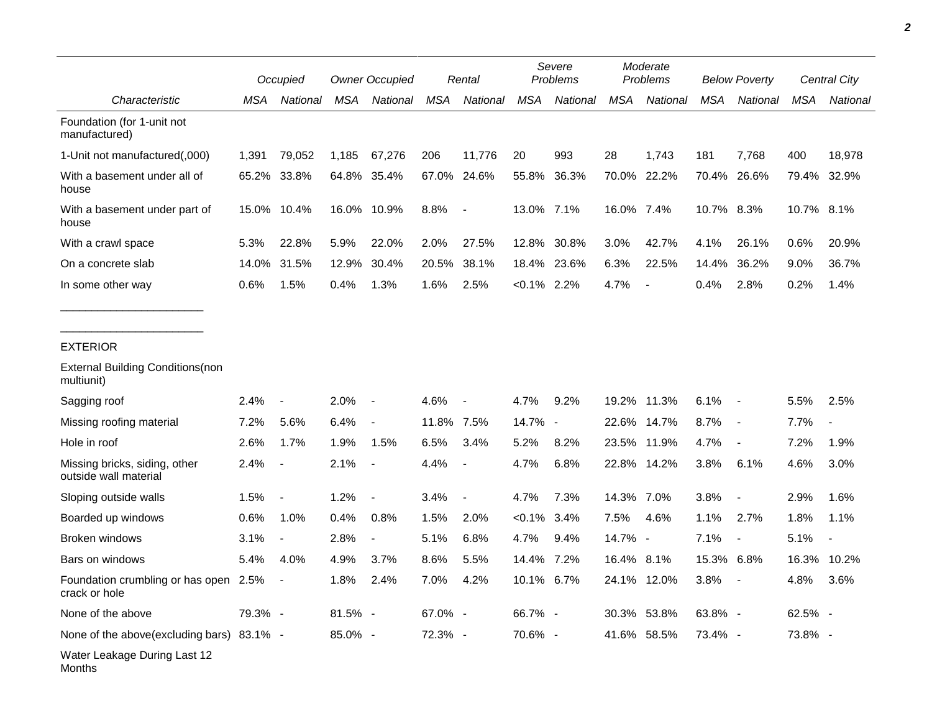|                                                        | Occupied |                          |         | <b>Owner Occupied</b>    |            | Rental                   |                | Severe<br>Problems |            | Moderate<br>Problems     |            | <b>Below Poverty</b>     |            | Central City             |  |
|--------------------------------------------------------|----------|--------------------------|---------|--------------------------|------------|--------------------------|----------------|--------------------|------------|--------------------------|------------|--------------------------|------------|--------------------------|--|
| Characteristic                                         | MSA      | National                 | MSA     | National                 | MSA        | National                 | <b>MSA</b>     | National           | <b>MSA</b> | National                 | MSA        | National                 | <b>MSA</b> | National                 |  |
| Foundation (for 1-unit not<br>manufactured)            |          |                          |         |                          |            |                          |                |                    |            |                          |            |                          |            |                          |  |
| 1-Unit not manufactured(,000)                          | 1,391    | 79,052                   | 1,185   | 67,276                   | 206        | 11,776                   | 20             | 993                | 28         | 1,743                    | 181        | 7,768                    | 400        | 18,978                   |  |
| With a basement under all of<br>house                  |          | 65.2% 33.8%              |         | 64.8% 35.4%              | 67.0%      | 24.6%                    | 55.8%          | 36.3%              |            | 70.0% 22.2%              | 70.4%      | 26.6%                    |            | 79.4% 32.9%              |  |
| With a basement under part of<br>house                 | 15.0%    | 10.4%                    |         | 16.0% 10.9%              | 8.8%       | $\blacksquare$           | 13.0% 7.1%     |                    | 16.0% 7.4% |                          | 10.7% 8.3% |                          | 10.7% 8.1% |                          |  |
| With a crawl space                                     | 5.3%     | 22.8%                    | 5.9%    | 22.0%                    | 2.0%       | 27.5%                    | 12.8%          | 30.8%              | 3.0%       | 42.7%                    | 4.1%       | 26.1%                    | 0.6%       | 20.9%                    |  |
| On a concrete slab                                     | 14.0%    | 31.5%                    | 12.9%   | 30.4%                    | 20.5%      | 38.1%                    | 18.4%          | 23.6%              | 6.3%       | 22.5%                    | 14.4%      | 36.2%                    | 9.0%       | 36.7%                    |  |
| In some other way                                      | 0.6%     | 1.5%                     | 0.4%    | 1.3%                     | 1.6%       | 2.5%                     | $< 0.1\%$ 2.2% |                    | 4.7%       | $\overline{\phantom{a}}$ | 0.4%       | 2.8%                     | 0.2%       | 1.4%                     |  |
| <b>EXTERIOR</b>                                        |          |                          |         |                          |            |                          |                |                    |            |                          |            |                          |            |                          |  |
| <b>External Building Conditions (non</b><br>multiunit) |          |                          |         |                          |            |                          |                |                    |            |                          |            |                          |            |                          |  |
| Sagging roof                                           | 2.4%     | $\overline{\phantom{a}}$ | 2.0%    | $\overline{\phantom{a}}$ | 4.6%       | $\overline{\phantom{a}}$ | 4.7%           | 9.2%               |            | 19.2% 11.3%              | 6.1%       | $\sim$                   | 5.5%       | 2.5%                     |  |
| Missing roofing material                               | 7.2%     | 5.6%                     | 6.4%    | $\overline{\phantom{a}}$ | 11.8% 7.5% |                          | 14.7% -        |                    | 22.6%      | 14.7%                    | 8.7%       | $\sim$                   | 7.7%       |                          |  |
| Hole in roof                                           | 2.6%     | 1.7%                     | 1.9%    | 1.5%                     | 6.5%       | 3.4%                     | 5.2%           | 8.2%               | 23.5%      | 11.9%                    | 4.7%       | $\overline{\phantom{a}}$ | 7.2%       | 1.9%                     |  |
| Missing bricks, siding, other<br>outside wall material | 2.4%     | $\blacksquare$           | 2.1%    | $\overline{\phantom{a}}$ | 4.4%       | $\overline{\phantom{a}}$ | 4.7%           | 6.8%               | 22.8%      | 14.2%                    | 3.8%       | 6.1%                     | 4.6%       | 3.0%                     |  |
| Sloping outside walls                                  | 1.5%     | $\blacksquare$           | 1.2%    |                          | 3.4%       | $\overline{\phantom{a}}$ | 4.7%           | 7.3%               | 14.3%      | 7.0%                     | 3.8%       | $\blacksquare$           | 2.9%       | 1.6%                     |  |
| Boarded up windows                                     | 0.6%     | 1.0%                     | 0.4%    | 0.8%                     | 1.5%       | 2.0%                     | $< 0.1\%$      | 3.4%               | 7.5%       | 4.6%                     | 1.1%       | 2.7%                     | 1.8%       | 1.1%                     |  |
| Broken windows                                         | 3.1%     | $\blacksquare$           | 2.8%    | $\overline{\phantom{a}}$ | 5.1%       | 6.8%                     | 4.7%           | 9.4%               | 14.7%      | $\overline{\phantom{a}}$ | 7.1%       | $\overline{\phantom{a}}$ | 5.1%       | $\overline{\phantom{a}}$ |  |
| Bars on windows                                        | 5.4%     | 4.0%                     | 4.9%    | 3.7%                     | 8.6%       | 5.5%                     | 14.4%          | 7.2%               | 16.4%      | 8.1%                     | 15.3%      | 6.8%                     | 16.3%      | 10.2%                    |  |
| Foundation crumbling or has open 2.5%<br>crack or hole |          |                          | 1.8%    | 2.4%                     | 7.0%       | 4.2%                     | 10.1% 6.7%     |                    | 24.1%      | 12.0%                    | 3.8%       |                          | 4.8%       | 3.6%                     |  |
| None of the above                                      | 79.3% -  |                          | 81.5% - |                          | 67.0% -    |                          | 66.7% -        |                    |            | 30.3% 53.8%              | 63.8% -    |                          | 62.5% -    |                          |  |
| None of the above(excluding bars) 83.1% -              |          |                          | 85.0% - |                          | 72.3% -    |                          | 70.6% -        |                    |            | 41.6% 58.5%              | 73.4% -    |                          | 73.8% -    |                          |  |
| Water Leakage During Last 12<br>Months                 |          |                          |         |                          |            |                          |                |                    |            |                          |            |                          |            |                          |  |

*2*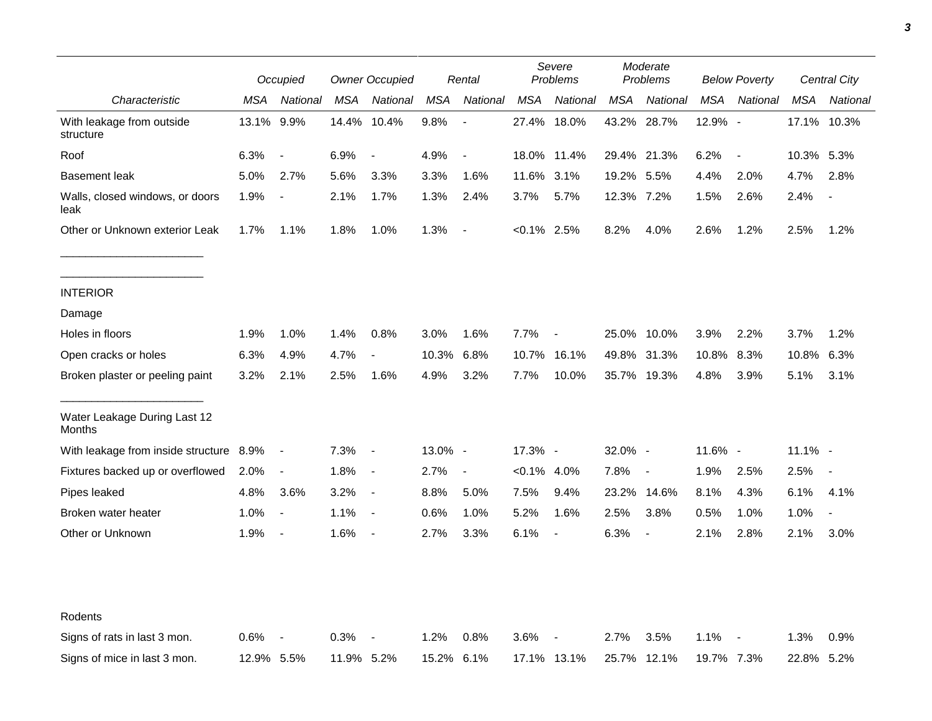|                                         | Occupied   |                          |            | <b>Owner Occupied</b>    |            | Rental                   |                | Severe<br>Problems |             | Moderate<br>Problems |            | <b>Below Poverty</b>     |             | Central City   |  |
|-----------------------------------------|------------|--------------------------|------------|--------------------------|------------|--------------------------|----------------|--------------------|-------------|----------------------|------------|--------------------------|-------------|----------------|--|
| Characteristic                          | MSA        | National                 | MSA        | National                 | <b>MSA</b> | National                 | <b>MSA</b>     | National           | <b>MSA</b>  | National             | <b>MSA</b> | National                 | MSA         | National       |  |
| With leakage from outside<br>structure  | 13.1% 9.9% |                          |            | 14.4% 10.4%              | 9.8%       | $\overline{\phantom{a}}$ |                | 27.4% 18.0%        | 43.2%       | 28.7%                | 12.9% -    |                          | 17.1% 10.3% |                |  |
| Roof                                    | 6.3%       | $\overline{\phantom{a}}$ | 6.9%       | $\overline{\phantom{a}}$ | 4.9%       | $\blacksquare$           |                | 18.0% 11.4%        | 29.4% 21.3% |                      | 6.2%       | $\overline{\phantom{a}}$ | 10.3% 5.3%  |                |  |
| <b>Basement leak</b>                    | 5.0%       | 2.7%                     | 5.6%       | 3.3%                     | 3.3%       | 1.6%                     | 11.6%          | 3.1%               | 19.2% 5.5%  |                      | 4.4%       | 2.0%                     | 4.7%        | 2.8%           |  |
| Walls, closed windows, or doors<br>leak | 1.9%       | $\overline{\phantom{a}}$ | 2.1%       | 1.7%                     | 1.3%       | 2.4%                     | 3.7%           | 5.7%               | 12.3% 7.2%  |                      | 1.5%       | 2.6%                     | 2.4%        |                |  |
| Other or Unknown exterior Leak          | 1.7%       | 1.1%                     | 1.8%       | 1.0%                     | 1.3%       | $\overline{\phantom{a}}$ | $<0.1\%$ 2.5%  |                    | 8.2%        | 4.0%                 | 2.6%       | 1.2%                     | 2.5%        | 1.2%           |  |
| <b>INTERIOR</b>                         |            |                          |            |                          |            |                          |                |                    |             |                      |            |                          |             |                |  |
| Damage                                  |            |                          |            |                          |            |                          |                |                    |             |                      |            |                          |             |                |  |
| Holes in floors                         | 1.9%       | 1.0%                     | 1.4%       | 0.8%                     | 3.0%       | 1.6%                     | 7.7%           |                    | 25.0%       | 10.0%                | 3.9%       | 2.2%                     | 3.7%        | 1.2%           |  |
| Open cracks or holes                    | 6.3%       | 4.9%                     | 4.7%       | $\blacksquare$           | 10.3%      | 6.8%                     | 10.7%          | 16.1%              | 49.8%       | 31.3%                | 10.8%      | 8.3%                     | 10.8%       | 6.3%           |  |
| Broken plaster or peeling paint         | 3.2%       | 2.1%                     | 2.5%       | 1.6%                     | 4.9%       | 3.2%                     | 7.7%           | 10.0%              |             | 35.7% 19.3%          | 4.8%       | 3.9%                     | 5.1%        | 3.1%           |  |
| Water Leakage During Last 12<br>Months  |            |                          |            |                          |            |                          |                |                    |             |                      |            |                          |             |                |  |
| With leakage from inside structure 8.9% |            | $\overline{\phantom{a}}$ | 7.3%       | $\overline{\phantom{a}}$ | 13.0% -    |                          | $17.3\%$ -     |                    | 32.0% -     |                      | 11.6% -    |                          | $11.1\%$ -  |                |  |
| Fixtures backed up or overflowed        | 2.0%       | $\blacksquare$           | 1.8%       | $\sim$                   | 2.7%       | $\overline{\phantom{a}}$ | $< 0.1\%$ 4.0% |                    | 7.8%        | $\blacksquare$       | 1.9%       | 2.5%                     | 2.5%        | $\blacksquare$ |  |
| Pipes leaked                            | 4.8%       | 3.6%                     | 3.2%       | $\overline{\phantom{a}}$ | 8.8%       | 5.0%                     | 7.5%           | 9.4%               | 23.2%       | 14.6%                | 8.1%       | 4.3%                     | 6.1%        | 4.1%           |  |
| Broken water heater                     | 1.0%       | $\blacksquare$           | 1.1%       | $\blacksquare$           | 0.6%       | 1.0%                     | 5.2%           | 1.6%               | 2.5%        | 3.8%                 | 0.5%       | 1.0%                     | 1.0%        | $\blacksquare$ |  |
| Other or Unknown                        | 1.9%       | $\blacksquare$           | 1.6%       | $\blacksquare$           | 2.7%       | 3.3%                     | 6.1%           | $\blacksquare$     | 6.3%        | $\blacksquare$       | 2.1%       | 2.8%                     | 2.1%        | 3.0%           |  |
|                                         |            |                          |            |                          |            |                          |                |                    |             |                      |            |                          |             |                |  |
| Rodents                                 |            |                          |            |                          |            |                          |                |                    |             |                      |            |                          |             |                |  |
| Signs of rats in last 3 mon.            | 0.6%       | $\overline{\phantom{a}}$ | 0.3%       |                          | 1.2%       | 0.8%                     | 3.6%           |                    | 2.7%        | 3.5%                 | 1.1%       | $\overline{\phantom{a}}$ | 1.3%        | 0.9%           |  |
| Signs of mice in last 3 mon.            | 12.9% 5.5% |                          | 11.9% 5.2% |                          | 15.2%      | 6.1%                     |                | 17.1% 13.1%        |             | 25.7% 12.1%          | 19.7% 7.3% |                          | 22.8% 5.2%  |                |  |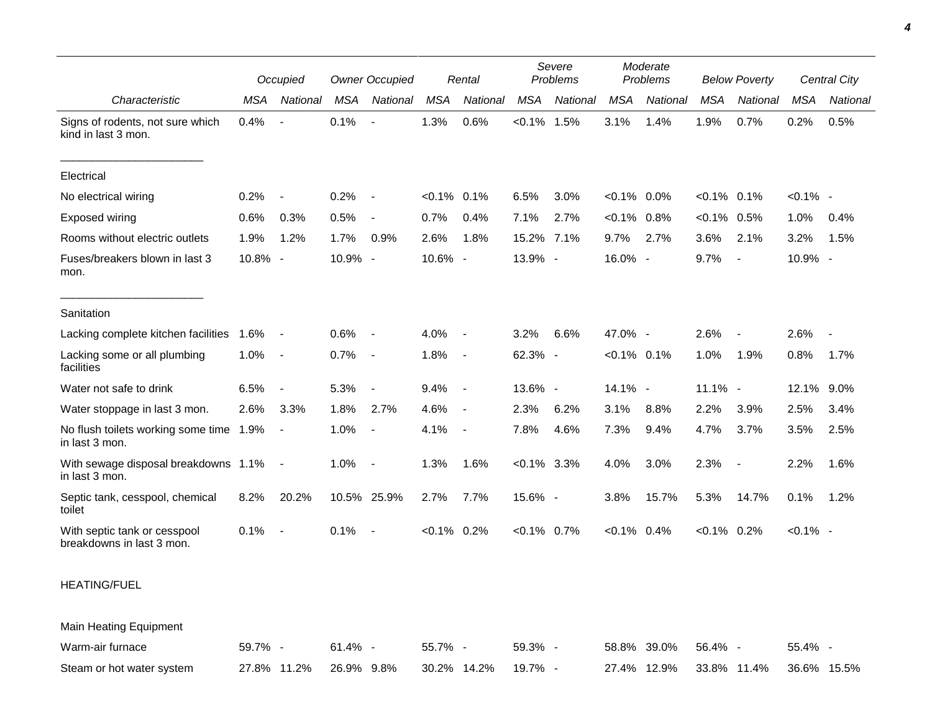|                                                           | Occupied   |                          |            | <b>Owner Occupied</b>    |                | Rental                   |                | Severe<br>Problems |                | Moderate<br>Problems |                | <b>Below Poverty</b>     |             | <b>Central City</b> |
|-----------------------------------------------------------|------------|--------------------------|------------|--------------------------|----------------|--------------------------|----------------|--------------------|----------------|----------------------|----------------|--------------------------|-------------|---------------------|
| Characteristic                                            | <b>MSA</b> | National                 | <b>MSA</b> | National                 | <b>MSA</b>     | National                 | <b>MSA</b>     | National           | <b>MSA</b>     | National             | <b>MSA</b>     | National                 | <b>MSA</b>  | National            |
| Signs of rodents, not sure which<br>kind in last 3 mon.   | 0.4%       |                          | 0.1%       |                          | 1.3%           | 0.6%                     | $< 0.1\%$ 1.5% |                    | 3.1%           | 1.4%                 | 1.9%           | 0.7%                     | 0.2%        | 0.5%                |
| Electrical                                                |            |                          |            |                          |                |                          |                |                    |                |                      |                |                          |             |                     |
| No electrical wiring                                      | 0.2%       | $\sim$                   | 0.2%       | $\overline{\phantom{a}}$ | $< 0.1\%$ 0.1% |                          | 6.5%           | 3.0%               | $< 0.1\%$      | 0.0%                 | $< 0.1\%$ 0.1% |                          | $< 0.1\%$ - |                     |
| <b>Exposed wiring</b>                                     | 0.6%       | 0.3%                     | 0.5%       | $\blacksquare$           | 0.7%           | 0.4%                     | 7.1%           | 2.7%               | $< 0.1\%$      | 0.8%                 | $< 0.1\%$ 0.5% |                          | 1.0%        | 0.4%                |
| Rooms without electric outlets                            | 1.9%       | 1.2%                     | 1.7%       | 0.9%                     | 2.6%           | 1.8%                     | 15.2%          | 7.1%               | 9.7%           | 2.7%                 | 3.6%           | 2.1%                     | 3.2%        | 1.5%                |
| Fuses/breakers blown in last 3<br>mon.                    | 10.8% -    |                          | 10.9% -    |                          | 10.6% -        |                          | 13.9% -        |                    | 16.0% -        |                      | 9.7%           | $\overline{\phantom{a}}$ | 10.9% -     |                     |
| Sanitation                                                |            |                          |            |                          |                |                          |                |                    |                |                      |                |                          |             |                     |
| Lacking complete kitchen facilities                       | 1.6%       | $\overline{\phantom{a}}$ | 0.6%       | $\blacksquare$           | 4.0%           | $\sim$                   | 3.2%           | 6.6%               | 47.0% -        |                      | 2.6%           | $\overline{\phantom{a}}$ | 2.6%        |                     |
| Lacking some or all plumbing<br>facilities                | 1.0%       | $\overline{\phantom{a}}$ | 0.7%       | $\overline{\phantom{a}}$ | 1.8%           | $\sim$                   | 62.3% -        |                    | $< 0.1\%$ 0.1% |                      | 1.0%           | 1.9%                     | 0.8%        | 1.7%                |
| Water not safe to drink                                   | 6.5%       |                          | 5.3%       | $\overline{a}$           | 9.4%           | $\overline{\phantom{a}}$ | 13.6% -        |                    | 14.1% -        |                      | 11.1% -        |                          | 12.1% 9.0%  |                     |
| Water stoppage in last 3 mon.                             | 2.6%       | 3.3%                     | 1.8%       | 2.7%                     | 4.6%           | $\sim$                   | 2.3%           | 6.2%               | 3.1%           | 8.8%                 | 2.2%           | 3.9%                     | 2.5%        | 3.4%                |
| No flush toilets working some time 1.9%<br>in last 3 mon. |            | $\overline{\phantom{a}}$ | 1.0%       | $\overline{\phantom{a}}$ | 4.1%           | $\sim$                   | 7.8%           | 4.6%               | 7.3%           | 9.4%                 | 4.7%           | 3.7%                     | 3.5%        | 2.5%                |
| With sewage disposal breakdowns 1.1%<br>in last 3 mon.    |            | $\sim$                   | 1.0%       | $\overline{\phantom{a}}$ | 1.3%           | 1.6%                     | $< 0.1\%$ 3.3% |                    | 4.0%           | 3.0%                 | 2.3%           | $\overline{\phantom{a}}$ | 2.2%        | 1.6%                |
| Septic tank, cesspool, chemical<br>toilet                 | 8.2%       | 20.2%                    |            | 10.5% 25.9%              | 2.7%           | 7.7%                     | 15.6% -        |                    | 3.8%           | 15.7%                | 5.3%           | 14.7%                    | 0.1%        | 1.2%                |
| With septic tank or cesspool<br>breakdowns in last 3 mon. | 0.1%       | $\overline{\phantom{a}}$ | 0.1%       | $\overline{\phantom{a}}$ | $< 0.1\%$ 0.2% |                          | $< 0.1\%$ 0.7% |                    | $< 0.1\%$ 0.4% |                      | $< 0.1\%$ 0.2% |                          | $< 0.1\%$ - |                     |
| <b>HEATING/FUEL</b>                                       |            |                          |            |                          |                |                          |                |                    |                |                      |                |                          |             |                     |
| Main Heating Equipment                                    |            |                          |            |                          |                |                          |                |                    |                |                      |                |                          |             |                     |

| Warm-air furnace          | $59.7\%$ -                                 | 61.4% - | 55.7% - | 59.3% - | 58.8% 39.0% 56.4% - |                                     | $55.4\%$ |
|---------------------------|--------------------------------------------|---------|---------|---------|---------------------|-------------------------------------|----------|
| Steam or hot water system | 27.8% 11.2% 26.9% 9.8% 30.2% 14.2% 19.7% - |         |         |         |                     | 27.4% 12.9% 33.8% 11.4% 36.6% 15.5% |          |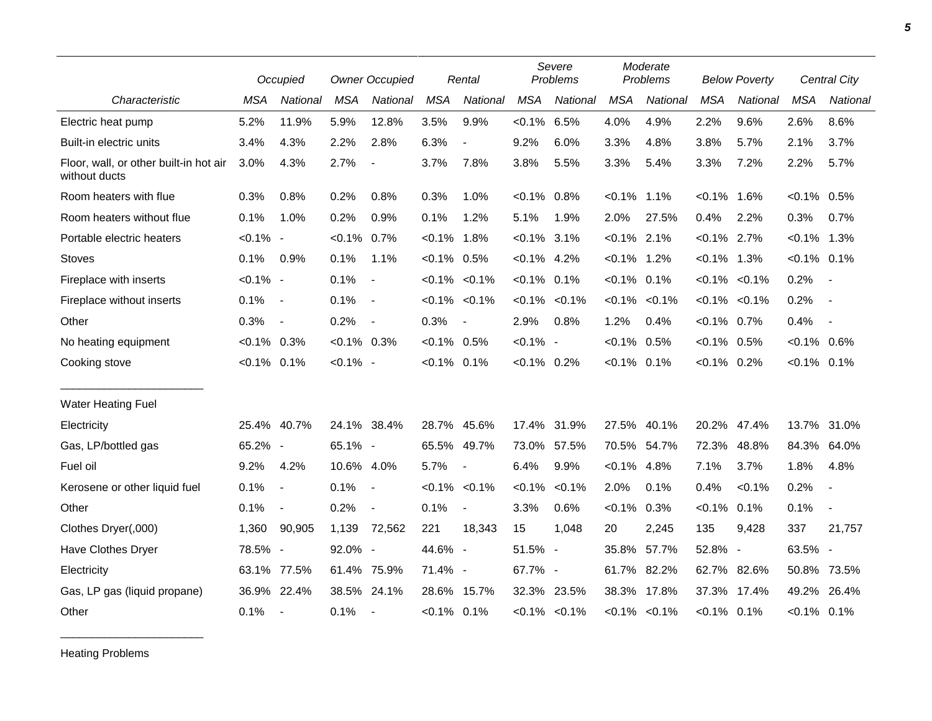|                                                         |                | Occupied       | <b>Owner Occupied</b> |                          |                | Rental                   | Severe<br>Problems |                     |                | Moderate<br>Problems | <b>Below Poverty</b> |           |                | <b>Central City</b>      |
|---------------------------------------------------------|----------------|----------------|-----------------------|--------------------------|----------------|--------------------------|--------------------|---------------------|----------------|----------------------|----------------------|-----------|----------------|--------------------------|
| Characteristic                                          | <b>MSA</b>     | National       | <b>MSA</b>            | National                 | <b>MSA</b>     | National                 | <b>MSA</b>         | National            | <b>MSA</b>     | National             | <b>MSA</b>           | National  | <b>MSA</b>     | National                 |
| Electric heat pump                                      | 5.2%           | 11.9%          | 5.9%                  | 12.8%                    | 3.5%           | 9.9%                     | $< 0.1\%$ 6.5%     |                     | 4.0%           | 4.9%                 | 2.2%                 | 9.6%      | 2.6%           | 8.6%                     |
| Built-in electric units                                 | 3.4%           | 4.3%           | 2.2%                  | 2.8%                     | 6.3%           | $\blacksquare$           | 9.2%               | 6.0%                | 3.3%           | 4.8%                 | 3.8%                 | 5.7%      | 2.1%           | 3.7%                     |
| Floor, wall, or other built-in hot air<br>without ducts | 3.0%           | 4.3%           | 2.7%                  | $\blacksquare$           | 3.7%           | 7.8%                     | 3.8%               | 5.5%                | 3.3%           | 5.4%                 | 3.3%                 | 7.2%      | 2.2%           | 5.7%                     |
| Room heaters with flue                                  | 0.3%           | 0.8%           | 0.2%                  | 0.8%                     | 0.3%           | 1.0%                     | $< 0.1\%$ 0.8%     |                     | $< 0.1\%$      | 1.1%                 | $< 0.1\%$            | 1.6%      | $< 0.1\%$      | 0.5%                     |
| Room heaters without flue                               | 0.1%           | 1.0%           | 0.2%                  | 0.9%                     | 0.1%           | 1.2%                     | 5.1%               | 1.9%                | 2.0%           | 27.5%                | 0.4%                 | 2.2%      | 0.3%           | 0.7%                     |
| Portable electric heaters                               | $< 0.1\%$ -    |                | $< 0.1\%$             | 0.7%                     | $< 0.1\%$ 1.8% |                          | $< 0.1\%$ 3.1%     |                     | $< 0.1\%$ 2.1% |                      | $< 0.1\%$ 2.7%       |           | $< 0.1\%$ 1.3% |                          |
| Stoves                                                  | 0.1%           | 0.9%           | 0.1%                  | 1.1%                     | $< 0.1\%$ 0.5% |                          | $< 0.1\%$ 4.2%     |                     | $< 0.1\%$ 1.2% |                      | $< 0.1\%$            | 1.3%      | $< 0.1\%$ 0.1% |                          |
| Fireplace with inserts                                  | $< 0.1\%$ -    |                | 0.1%                  | $\blacksquare$           |                | $< 0.1\%$ $< 0.1\%$      | $< 0.1\%$ 0.1%     |                     | $< 0.1\%$      | 0.1%                 | $< 0.1\%$            | $< 0.1\%$ | 0.2%           | $\sim$                   |
| Fireplace without inserts                               | 0.1%           | $\sim$         | 0.1%                  | $\overline{\phantom{a}}$ |                | $< 0.1\%$ $< 0.1\%$      |                    | $< 0.1\% < 0.1\%$   | $< 0.1\%$      | $< 0.1\%$            | $< 0.1\%$            | $< 0.1\%$ | 0.2%           | $\sim$                   |
| Other                                                   | 0.3%           | $\blacksquare$ | 0.2%                  | $\overline{\phantom{a}}$ | 0.3%           |                          | 2.9%               | 0.8%                | 1.2%           | 0.4%                 | $< 0.1\%$ 0.7%       |           | 0.4%           | $\sim$                   |
| No heating equipment                                    | $< 0.1\%$ 0.3% |                | $< 0.1\%$ 0.3%        |                          | $< 0.1\%$ 0.5% |                          | $< 0.1\%$ -        |                     | $< 0.1\%$      | 0.5%                 | $< 0.1\%$ 0.5%       |           | $< 0.1\%$ 0.6% |                          |
| Cooking stove                                           | $< 0.1\%$ 0.1% |                | $< 0.1\%$ -           |                          | $< 0.1\%$ 0.1% |                          | $< 0.1\%$ 0.2%     |                     | $< 0.1\%$ 0.1% |                      | $< 0.1\%$ 0.2%       |           | $< 0.1\%$ 0.1% |                          |
| <b>Water Heating Fuel</b>                               |                |                |                       |                          |                |                          |                    |                     |                |                      |                      |           |                |                          |
| Electricity                                             |                | 25.4% 40.7%    | 24.1% 38.4%           |                          |                | 28.7% 45.6%              |                    | 17.4% 31.9%         | 27.5%          | 40.1%                | 20.2%                | 47.4%     | 13.7%          | 31.0%                    |
| Gas, LP/bottled gas                                     | 65.2% -        |                | 65.1% -               |                          |                | 65.5% 49.7%              | 73.0%              | 57.5%               |                | 70.5% 54.7%          | 72.3%                | 48.8%     | 84.3%          | 64.0%                    |
| Fuel oil                                                | 9.2%           | 4.2%           | 10.6% 4.0%            |                          | 5.7%           | $\overline{\phantom{a}}$ | 6.4%               | 9.9%                | $< 0.1\%$      | 4.8%                 | 7.1%                 | 3.7%      | 1.8%           | 4.8%                     |
| Kerosene or other liquid fuel                           | 0.1%           | $\blacksquare$ | 0.1%                  | $\overline{\phantom{a}}$ |                | $< 0.1\% < 0.1\%$        | $< 0.1\%$          | $< 0.1\%$           | 2.0%           | 0.1%                 | 0.4%                 | < 0.1%    | 0.2%           | $\overline{\phantom{a}}$ |
| Other                                                   | 0.1%           | $\blacksquare$ | 0.2%                  | $\blacksquare$           | 0.1%           | $\blacksquare$           | 3.3%               | 0.6%                | $< 0.1\%$      | 0.3%                 | $< 0.1\%$ 0.1%       |           | 0.1%           | $\blacksquare$           |
| Clothes Dryer(,000)                                     | 1,360          | 90,905         | 1,139                 | 72,562                   | 221            | 18,343                   | 15                 | 1,048               | 20             | 2,245                | 135                  | 9,428     | 337            | 21,757                   |
| Have Clothes Dryer                                      | 78.5% -        |                | 92.0% -               |                          | 44.6% -        |                          | 51.5% -            |                     | 35.8%          | 57.7%                | 52.8% -              |           | 63.5% -        |                          |
| Electricity                                             | 63.1%          | 77.5%          | 61.4% 75.9%           |                          | 71.4% -        |                          | 67.7% -            |                     | 61.7%          | 82.2%                | 62.7% 82.6%          |           |                | 50.8% 73.5%              |
| Gas, LP gas (liquid propane)                            |                | 36.9% 22.4%    |                       | 38.5% 24.1%              |                | 28.6% 15.7%              | 32.3%              | 23.5%               |                | 38.3% 17.8%          | 37.3%                | 17.4%     | 49.2%          | 26.4%                    |
| Other                                                   | 0.1%           | $\blacksquare$ | 0.1%                  |                          | $< 0.1\%$ 0.1% |                          |                    | $< 0.1\%$ $< 0.1\%$ |                | $< 0.1\%$ $< 0.1\%$  | $< 0.1\%$ 0.1%       |           | $< 0.1\%$ 0.1% |                          |

Heating Problems

\_\_\_\_\_\_\_\_\_\_\_\_\_\_\_\_\_\_\_\_\_\_\_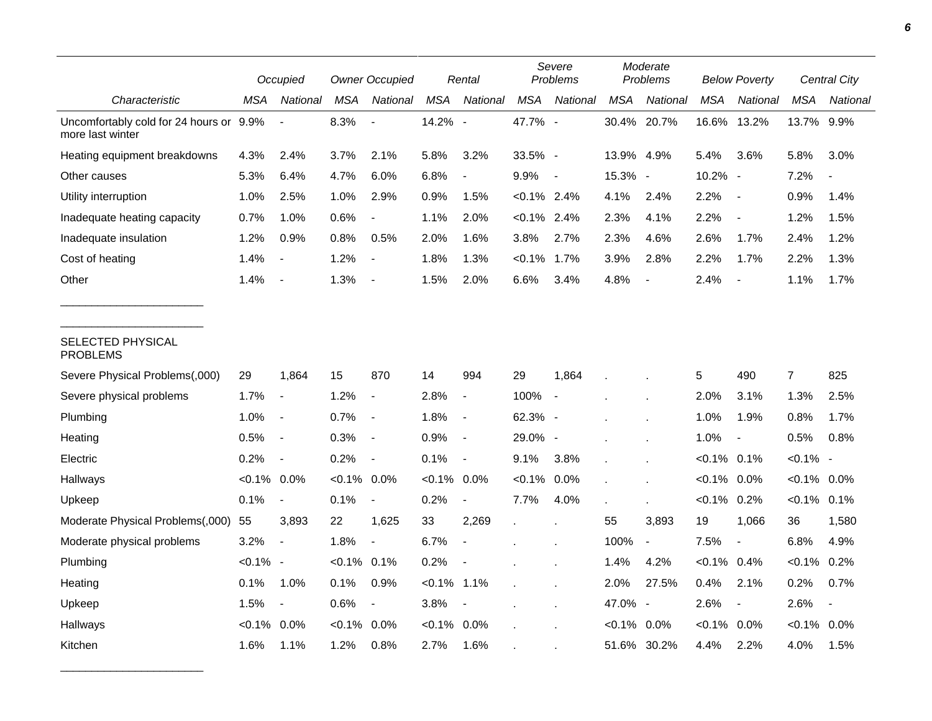|                                                             | Occupied       |                          | <b>Owner Occupied</b> |                          |            | Rental                   | Severe<br>Problems |                          | Moderate<br>Problems |                          | <b>Below Poverty</b> |                          | <b>Central City</b> |                          |
|-------------------------------------------------------------|----------------|--------------------------|-----------------------|--------------------------|------------|--------------------------|--------------------|--------------------------|----------------------|--------------------------|----------------------|--------------------------|---------------------|--------------------------|
| Characteristic                                              | MSA            | National                 | MSA                   | National                 | <b>MSA</b> | National                 | <b>MSA</b>         | National                 | <b>MSA</b>           | National                 | <b>MSA</b>           | National                 | <b>MSA</b>          | National                 |
| Uncomfortably cold for 24 hours or 9.9%<br>more last winter |                |                          | 8.3%                  |                          | 14.2% -    |                          | 47.7% -            |                          |                      | 30.4% 20.7%              | 16.6%                | 13.2%                    | 13.7% 9.9%          |                          |
| Heating equipment breakdowns                                | 4.3%           | 2.4%                     | 3.7%                  | 2.1%                     | 5.8%       | 3.2%                     | 33.5% -            |                          | 13.9%                | 4.9%                     | 5.4%                 | 3.6%                     | 5.8%                | 3.0%                     |
| Other causes                                                | 5.3%           | 6.4%                     | 4.7%                  | 6.0%                     | 6.8%       | $\overline{\phantom{a}}$ | 9.9%               | $\sim$                   | 15.3% -              |                          | 10.2% -              |                          | 7.2%                |                          |
| Utility interruption                                        | 1.0%           | 2.5%                     | 1.0%                  | 2.9%                     | 0.9%       | 1.5%                     | $< 0.1\%$ 2.4%     |                          | 4.1%                 | 2.4%                     | 2.2%                 | $\overline{\phantom{a}}$ | 0.9%                | 1.4%                     |
| Inadequate heating capacity                                 | 0.7%           | 1.0%                     | 0.6%                  |                          | 1.1%       | 2.0%                     | $< 0.1\%$ 2.4%     |                          | 2.3%                 | 4.1%                     | 2.2%                 | $\overline{\phantom{a}}$ | 1.2%                | 1.5%                     |
| Inadequate insulation                                       | 1.2%           | 0.9%                     | 0.8%                  | 0.5%                     | 2.0%       | 1.6%                     | 3.8%               | 2.7%                     | 2.3%                 | 4.6%                     | 2.6%                 | 1.7%                     | 2.4%                | 1.2%                     |
| Cost of heating                                             | 1.4%           | $\blacksquare$           | 1.2%                  | $\overline{a}$           | 1.8%       | 1.3%                     | $< 0.1\%$          | 1.7%                     | 3.9%                 | 2.8%                     | 2.2%                 | 1.7%                     | 2.2%                | 1.3%                     |
| Other                                                       | 1.4%           | $\blacksquare$           | 1.3%                  |                          | 1.5%       | 2.0%                     | 6.6%               | 3.4%                     | 4.8%                 | $\overline{\phantom{a}}$ | 2.4%                 | $\overline{\phantom{a}}$ | 1.1%                | 1.7%                     |
| SELECTED PHYSICAL<br><b>PROBLEMS</b>                        |                |                          |                       |                          |            |                          |                    |                          |                      |                          |                      |                          |                     |                          |
| Severe Physical Problems(,000)                              | 29             | 1,864                    | 15                    | 870                      | 14         | 994                      | 29                 | 1,864                    |                      |                          | 5                    | 490                      | $\overline{7}$      | 825                      |
| Severe physical problems                                    | 1.7%           | $\overline{\phantom{a}}$ | 1.2%                  | $\overline{\phantom{a}}$ | 2.8%       | $\overline{\phantom{a}}$ | 100%               | $\overline{\phantom{a}}$ |                      |                          | 2.0%                 | 3.1%                     | 1.3%                | 2.5%                     |
| Plumbing                                                    | 1.0%           | $\overline{\phantom{a}}$ | 0.7%                  | $\overline{\phantom{a}}$ | 1.8%       | $\blacksquare$           | 62.3% -            |                          |                      |                          | 1.0%                 | 1.9%                     | 0.8%                | 1.7%                     |
| Heating                                                     | 0.5%           | $\overline{\phantom{a}}$ | 0.3%                  | $\blacksquare$           | 0.9%       | $\overline{\phantom{a}}$ | 29.0% -            |                          |                      |                          | 1.0%                 | $\blacksquare$           | 0.5%                | 0.8%                     |
| Electric                                                    | 0.2%           | $\overline{\phantom{a}}$ | 0.2%                  | $\blacksquare$           | 0.1%       | $\blacksquare$           | 9.1%               | 3.8%                     |                      |                          | $< 0.1\%$ 0.1%       |                          | $< 0.1\%$ -         |                          |
| Hallways                                                    | $< 0.1\%$ 0.0% |                          | $< 0.1\%$             | 0.0%                     | $< 0.1\%$  | $0.0\%$                  | $< 0.1\%$          | 0.0%                     |                      |                          | $< 0.1\%$            | 0.0%                     | $< 0.1\%$ 0.0%      |                          |
| Upkeep                                                      | 0.1%           | $\overline{\phantom{a}}$ | 0.1%                  | $\overline{\phantom{a}}$ | 0.2%       | $\blacksquare$           | 7.7%               | 4.0%                     |                      |                          | $< 0.1\%$ 0.2%       |                          | $< 0.1\%$ 0.1%      |                          |
| Moderate Physical Problems(,000)                            | 55             | 3,893                    | 22                    | 1,625                    | 33         | 2,269                    |                    |                          | 55                   | 3,893                    | 19                   | 1,066                    | 36                  | 1,580                    |
| Moderate physical problems                                  | 3.2%           | $\overline{a}$           | 1.8%                  | $\overline{\phantom{a}}$ | 6.7%       | $\blacksquare$           |                    |                          | 100%                 | $\overline{\phantom{a}}$ | 7.5%                 | $\overline{\phantom{a}}$ | 6.8%                | 4.9%                     |
| Plumbing                                                    | $< 0.1\%$ -    |                          | $< 0.1\%$ 0.1%        |                          | 0.2%       |                          |                    |                          | 1.4%                 | 4.2%                     | $< 0.1\%$ 0.4%       |                          | $< 0.1\%$           | 0.2%                     |
| Heating                                                     | 0.1%           | 1.0%                     | 0.1%                  | 0.9%                     | $< 0.1\%$  | 1.1%                     |                    |                          | 2.0%                 | 27.5%                    | 0.4%                 | 2.1%                     | 0.2%                | 0.7%                     |
| Upkeep                                                      | 1.5%           | $\overline{\phantom{a}}$ | 0.6%                  | $\overline{\phantom{a}}$ | 3.8%       | $\overline{\phantom{a}}$ |                    |                          | 47.0%                | $\overline{\phantom{a}}$ | 2.6%                 | $\blacksquare$           | 2.6%                | $\overline{\phantom{a}}$ |
| Hallways                                                    | $< 0.1\%$      | 0.0%                     | $< 0.1\%$             | 0.0%                     | $< 0.1\%$  | 0.0%                     |                    |                          | $< 0.1\%$ 0.0%       |                          | $< 0.1\%$ 0.0%       |                          | $< 0.1\%$           | $0.0\%$                  |
| Kitchen                                                     | 1.6%           | 1.1%                     | 1.2%                  | 0.8%                     | 2.7%       | 1.6%                     |                    |                          |                      | 51.6% 30.2%              | 4.4%                 | 2.2%                     | 4.0%                | 1.5%                     |

\_\_\_\_\_\_\_\_\_\_\_\_\_\_\_\_\_\_\_\_\_\_\_